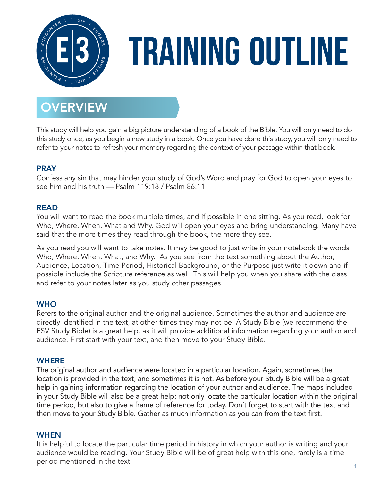

# **Training Outline**

# **OVERVIEW**

This study will help you gain a big picture understanding of a book of the Bible. You will only need to do this study once, as you begin a new study in a book. Once you have done this study, you will only need to refer to your notes to refresh your memory regarding the context of your passage within that book.

# **PRAY**

Confess any sin that may hinder your study of God's Word and pray for God to open your eyes to see him and his truth — Psalm 119:18 / Psalm 86:11

# READ

You will want to read the book multiple times, and if possible in one sitting. As you read, look for Who, Where, When, What and Why. God will open your eyes and bring understanding. Many have said that the more times they read through the book, the more they see.

As you read you will want to take notes. It may be good to just write in your notebook the words Who, Where, When, What, and Why. As you see from the text something about the Author, Audience, Location, Time Period, Historical Background, or the Purpose just write it down and if possible include the Scripture reference as well. This will help you when you share with the class and refer to your notes later as you study other passages.

# **WHO**

Refers to the original author and the original audience. Sometimes the author and audience are directly identified in the text, at other times they may not be. A Study Bible (we recommend the ESV Study Bible) is a great help, as it will provide additional information regarding your author and audience. First start with your text, and then move to your Study Bible.

# **WHERE**

The original author and audience were located in a particular location. Again, sometimes the location is provided in the text, and sometimes it is not. As before your Study Bible will be a great help in gaining information regarding the location of your author and audience. The maps included in your Study Bible will also be a great help; not only locate the particular location within the original time period, but also to give a frame of reference for today. Don't forget to start with the text and then move to your Study Bible. Gather as much information as you can from the text first.

# WHEN

It is helpful to locate the particular time period in history in which your author is writing and your audience would be reading. Your Study Bible will be of great help with this one, rarely is a time period mentioned in the text.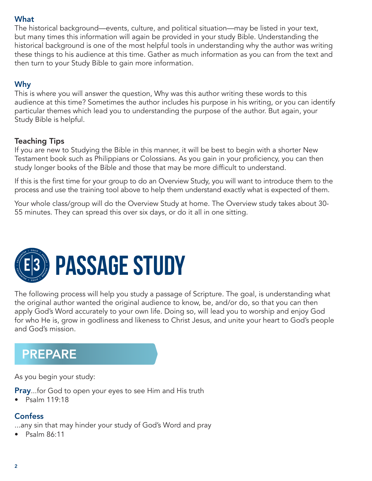## What

The historical background—events, culture, and political situation—may be listed in your text, but many times this information will again be provided in your study Bible. Understanding the historical background is one of the most helpful tools in understanding why the author was writing these things to his audience at this time. Gather as much information as you can from the text and then turn to your Study Bible to gain more information.

# Why

This is where you will answer the question, Why was this author writing these words to this audience at this time? Sometimes the author includes his purpose in his writing, or you can identify particular themes which lead you to understanding the purpose of the author. But again, your Study Bible is helpful.

# Teaching Tips

If you are new to Studying the Bible in this manner, it will be best to begin with a shorter New Testament book such as Philippians or Colossians. As you gain in your proficiency, you can then study longer books of the Bible and those that may be more difficult to understand.

If this is the first time for your group to do an Overview Study, you will want to introduce them to the process and use the training tool above to help them understand exactly what is expected of them.

Your whole class/group will do the Overview Study at home. The Overview study takes about 30- 55 minutes. They can spread this over six days, or do it all in one sitting.



The following process will help you study a passage of Scripture. The goal, is understanding what the original author wanted the original audience to know, be, and/or do, so that you can then apply God's Word accurately to your own life. Doing so, will lead you to worship and enjoy God for who He is, grow in godliness and likeness to Christ Jesus, and unite your heart to God's people and God's mission.

# PREPARE

As you begin your study:

**Pray...for God to open your eyes to see Him and His truth** 

• Psalm 119:18

# **Confess**

...any sin that may hinder your study of God's Word and pray

 $\bullet$  Psalm 86:11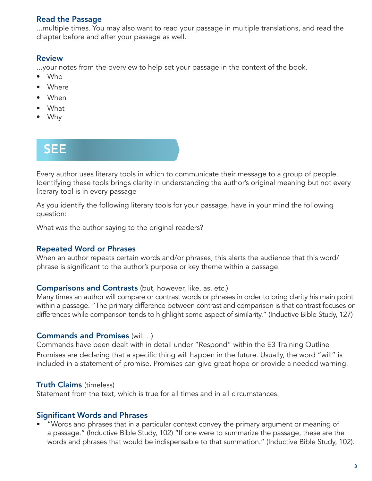# Read the Passage

...multiple times. You may also want to read your passage in multiple translations, and read the chapter before and after your passage as well.

#### Review

...your notes from the overview to help set your passage in the context of the book.

- Who
- Where
- When
- What
- Why

# SEE

Every author uses literary tools in which to communicate their message to a group of people. Identifying these tools brings clarity in understanding the author's original meaning but not every literary tool is in every passage

As you identify the following literary tools for your passage, have in your mind the following question:

What was the author saying to the original readers?

#### Repeated Word or Phrases

When an author repeats certain words and/or phrases, this alerts the audience that this word/ phrase is significant to the author's purpose or key theme within a passage.

#### Comparisons and Contrasts (but, however, like, as, etc.)

Many times an author will compare or contrast words or phrases in order to bring clarity his main point within a passage. "The primary difference between contrast and comparison is that contrast focuses on differences while comparison tends to highlight some aspect of similarity." (Inductive Bible Study, 127)

#### Commands and Promises (will…)

Commands have been dealt with in detail under "Respond" within the E3 Training Outline Promises are declaring that a specific thing will happen in the future. Usually, the word "will" is included in a statement of promise. Promises can give great hope or provide a needed warning.

#### Truth Claims (timeless)

Statement from the text, which is true for all times and in all circumstances.

# Significant Words and Phrases

• "Words and phrases that in a particular context convey the primary argument or meaning of a passage." (Inductive Bible Study, 102) "If one were to summarize the passage, these are the words and phrases that would be indispensable to that summation." (Inductive Bible Study, 102).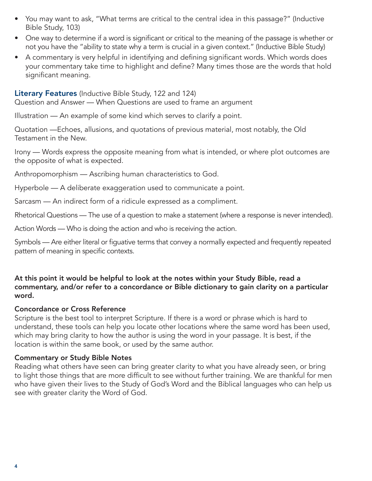- You may want to ask, "What terms are critical to the central idea in this passage?" (Inductive Bible Study, 103)
- One way to determine if a word is significant or critical to the meaning of the passage is whether or not you have the "ability to state why a term is crucial in a given context." (Inductive Bible Study)
- A commentary is very helpful in identifying and defining significant words. Which words does your commentary take time to highlight and define? Many times those are the words that hold significant meaning.

#### Literary Features (Inductive Bible Study, 122 and 124)

Question and Answer — When Questions are used to frame an argument

Illustration — An example of some kind which serves to clarify a point.

Quotation —Echoes, allusions, and quotations of previous material, most notably, the Old Testament in the New.

Irony — Words express the opposite meaning from what is intended, or where plot outcomes are the opposite of what is expected.

Anthropomorphism — Ascribing human characteristics to God.

Hyperbole — A deliberate exaggeration used to communicate a point.

Sarcasm — An indirect form of a ridicule expressed as a compliment.

Rhetorical Questions — The use of a question to make a statement (where a response is never intended).

Action Words — Who is doing the action and who is receiving the action.

Symbols — Are either literal or figuative terms that convey a normally expected and frequently repeated pattern of meaning in specific contexts.

#### At this point it would be helpful to look at the notes within your Study Bible, read a commentary, and/or refer to a concordance or Bible dictionary to gain clarity on a particular word.

#### Concordance or Cross Reference

Scripture is the best tool to interpret Scripture. If there is a word or phrase which is hard to understand, these tools can help you locate other locations where the same word has been used, which may bring clarity to how the author is using the word in your passage. It is best, if the location is within the same book, or used by the same author.

#### Commentary or Study Bible Notes

Reading what others have seen can bring greater clarity to what you have already seen, or bring to light those things that are more difficult to see without further training. We are thankful for men who have given their lives to the Study of God's Word and the Biblical languages who can help us see with greater clarity the Word of God.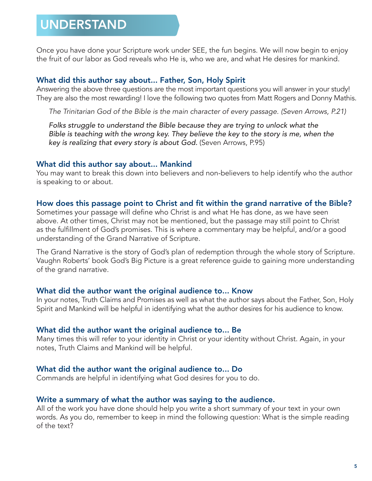# UNDERSTAND

Once you have done your Scripture work under SEE, the fun begins. We will now begin to enjoy the fruit of our labor as God reveals who He is, who we are, and what He desires for mankind.

#### What did this author say about... Father, Son, Holy Spirit

Answering the above three questions are the most important questions you will answer in your study! They are also the most rewarding! I love the following two quotes from Matt Rogers and Donny Mathis.

*The Trinitarian God of the Bible is the main character of every passage. (Seven Arrows, P.21)*

*Folks struggle to understand the Bible because they are trying to unlock what the Bible is teaching with the wrong key. They believe the key to the story is me, when the key is realizing that every story is about God.* (Seven Arrows, P.95)

#### What did this author say about... Mankind

You may want to break this down into believers and non-believers to help identify who the author is speaking to or about.

#### How does this passage point to Christ and fit within the grand narrative of the Bible?

Sometimes your passage will define who Christ is and what He has done, as we have seen above. At other times, Christ may not be mentioned, but the passage may still point to Christ as the fulfillment of God's promises. This is where a commentary may be helpful, and/or a good understanding of the Grand Narrative of Scripture.

The Grand Narrative is the story of God's plan of redemption through the whole story of Scripture. Vaughn Roberts' book God's Big Picture is a great reference guide to gaining more understanding of the grand narrative.

#### What did the author want the original audience to... Know

In your notes, Truth Claims and Promises as well as what the author says about the Father, Son, Holy Spirit and Mankind will be helpful in identifying what the author desires for his audience to know.

#### What did the author want the original audience to... Be

Many times this will refer to your identity in Christ or your identity without Christ. Again, in your notes, Truth Claims and Mankind will be helpful.

#### What did the author want the original audience to... Do

Commands are helpful in identifying what God desires for you to do.

#### Write a summary of what the author was saying to the audience.

All of the work you have done should help you write a short summary of your text in your own words. As you do, remember to keep in mind the following question: What is the simple reading of the text?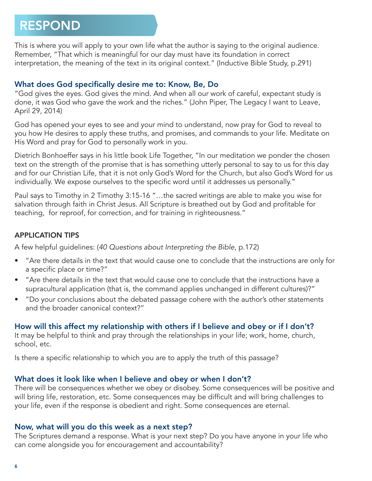# RESPOND

This is where you will apply to your own life what the author is saying to the original audience. Remember, "That which is meaningful for our day must have its foundation in correct interpretation, the meaning of the text in its original context." (Inductive Bible Study, p.291)

## What does God specifically desire me to: Know, Be, Do

"God gives the eyes. God gives the mind. And when all our work of careful, expectant study is done, it was God who gave the work and the riches." (John Piper, The Legacy I want to Leave, April 29, 2014)

God has opened your eyes to see and your mind to understand, now pray for God to reveal to you how He desires to apply these truths, and promises, and commands to your life. Meditate on His Word and pray for God to personally work in you.

Dietrich Bonhoeffer says in his little book Life Together, "In our meditation we ponder the chosen text on the strength of the promise that is has something utterly personal to say to us for this day and for our Christian Life, that it is not only God's Word for the Church, but also God's Word for us individually. We expose ourselves to the specific word until it addresses us personally."

Paul says to Timothy in 2 Timothy 3:15-16 "…the sacred writings are able to make you wise for salvation through faith in Christ Jesus. All Scripture is breathed out by God and profitable for teaching, for reproof, for correction, and for training in righteousness."

### APPLICATION TIPS

A few helpful guidelines: (*40 Questions about Interpreting the Bible*, p.172)

- "Are there details in the text that would cause one to conclude that the instructions are only for a specific place or time?"
- "Are there details in the text that would cause one to conclude that the instructions have a supracultural application (that is, the command applies unchanged in different cultures)?"
- "Do your conclusions about the debated passage cohere with the author's other statements and the broader canonical context?"

# How will this affect my relationship with others if I believe and obey or if I don't?

It may be helpful to think and pray through the relationships in your life; work, home, church, school, etc.

Is there a specific relationship to which you are to apply the truth of this passage?

#### What does it look like when I believe and obey or when I don't?

There will be consequences whether we obey or disobey. Some consequences will be positive and will bring life, restoration, etc. Some consequences may be difficult and will bring challenges to your life, even if the response is obedient and right. Some consequences are eternal.

#### Now, what will you do this week as a next step?

The Scriptures demand a response. What is your next step? Do you have anyone in your life who can come alongside you for encouragement and accountability?